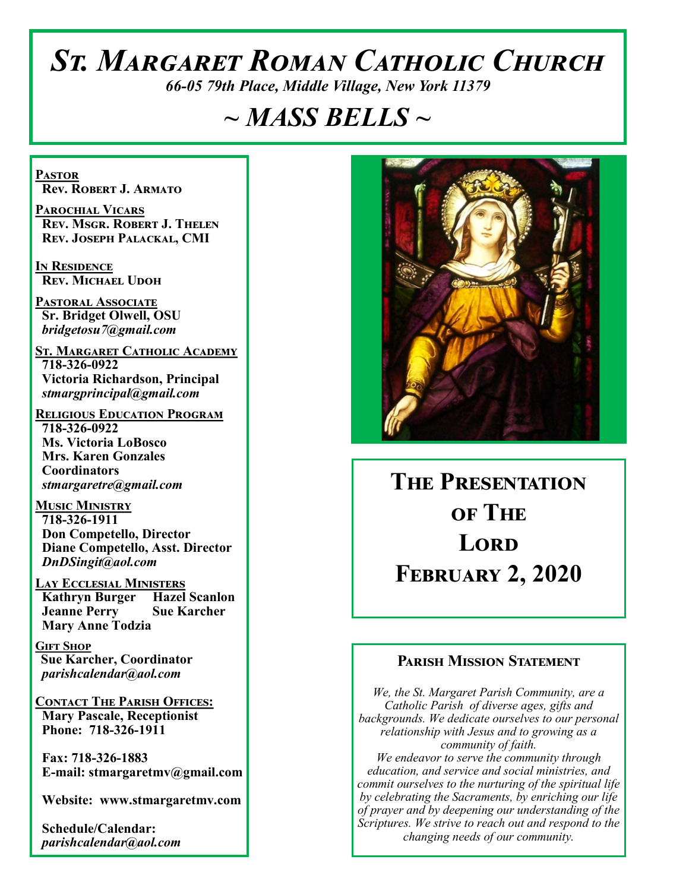# *St. Margaret Roman Catholic Church*

*66-05 79th Place, Middle Village, New York 11379*

# *~ MASS BELLS ~*

**Pastor Rev. Robert J. Armato**

**Parochial Vicars Rev. Msgr. Robert J. Thelen Rev. Joseph Palackal, CMI**

**In Residence Rev. Michael Udoh**

**Pastoral Associate Sr. Bridget Olwell, OSU**  *bridgetosu7@gmail.com*

**St. Margaret Catholic Academy 718-326-0922 Victoria Richardson, Principal**  *stmargprincipal@gmail.com*

**Religious Education Program 718-326-0922 Ms. Victoria LoBosco Mrs. Karen Gonzales Coordinators** *stmargaretre@gmail.com*

**Music Ministry 718-326-1911 Don Competello, Director Diane Competello, Asst. Director** *DnDSingit@aol.com*

**Lay Ecclesial Ministers Kathryn Burger Hazel Scanlon Jeanne Perry Sue Karcher Mary Anne Todzia**

**Gift Shop Sue Karcher, Coordinator** *parishcalendar@aol.com*

**Contact The Parish Offices: Mary Pascale, Receptionist Phone: 718-326-1911** 

 **Fax: 718-326-1883 E-mail: stmargaretmv@gmail.com**

 **Website: www.stmargaretmv.com**

 **Schedule/Calendar:** *parishcalendar@aol.com* 



**The Presentation of The Lord February 2, 2020** 

#### **Parish Mission Statement**

*We, the St. Margaret Parish Community, are a Catholic Parish of diverse ages, gifts and backgrounds. We dedicate ourselves to our personal relationship with Jesus and to growing as a community of faith. We endeavor to serve the community through education, and service and social ministries, and commit ourselves to the nurturing of the spiritual life by celebrating the Sacraments, by enriching our life of prayer and by deepening our understanding of the Scriptures. We strive to reach out and respond to the changing needs of our community.*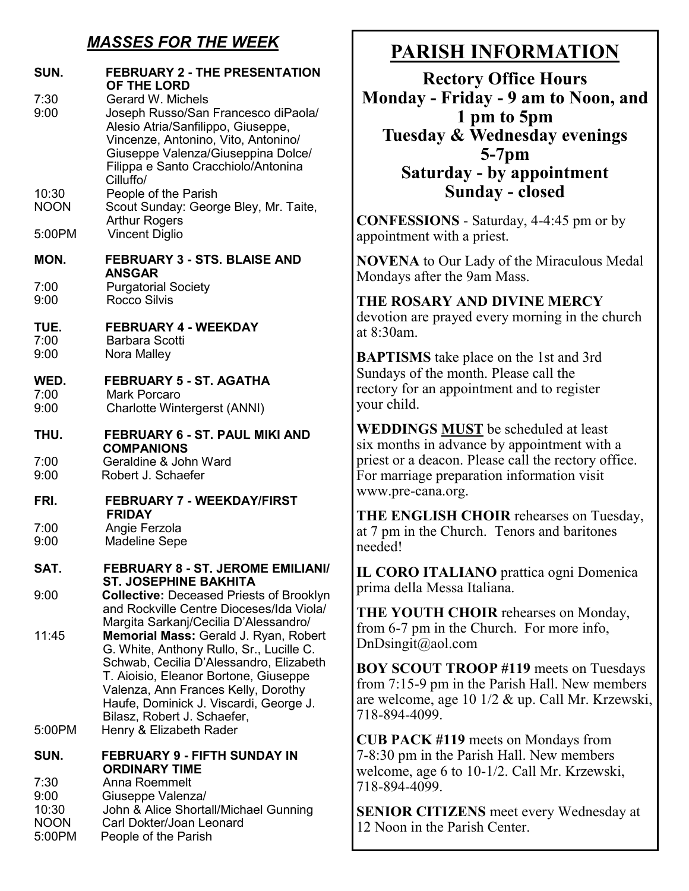# *MASSES FOR THE WEEK*

| SUN.                                         | <b>FEBRUARY 2 - THE PRESENTATION</b><br>OF THE LORD                                                                                                                                                                                                                                   |
|----------------------------------------------|---------------------------------------------------------------------------------------------------------------------------------------------------------------------------------------------------------------------------------------------------------------------------------------|
| 7:30<br>9:00                                 | Gerard W. Michels<br>Joseph Russo/San Francesco diPaola/<br>Alesio Atria/Sanfilippo, Giuseppe,<br>Vincenze, Antonino, Vito, Antonino/<br>Giuseppe Valenza/Giuseppina Dolce/<br>Filippa e Santo Cracchiolo/Antonina<br>Cilluffo/                                                       |
| 10:30<br><b>NOON</b>                         | People of the Parish<br>Scout Sunday: George Bley, Mr. Taite,<br><b>Arthur Rogers</b>                                                                                                                                                                                                 |
| 5:00PM                                       | <b>Vincent Diglio</b>                                                                                                                                                                                                                                                                 |
| MON.                                         | <b>FEBRUARY 3 - STS. BLAISE AND</b><br><b>ANSGAR</b>                                                                                                                                                                                                                                  |
| 7:00<br>9:00                                 | <b>Purgatorial Society</b><br><b>Rocco Silvis</b>                                                                                                                                                                                                                                     |
| TUE.<br>7:00<br>9:00                         | <b>FEBRUARY 4 - WEEKDAY</b><br><b>Barbara Scotti</b><br>Nora Malley                                                                                                                                                                                                                   |
| WED.<br>7:00<br>9:00                         | <b>FEBRUARY 5 - ST. AGATHA</b><br><b>Mark Porcaro</b><br><b>Charlotte Wintergerst (ANNI)</b>                                                                                                                                                                                          |
| THU.                                         | <b>FEBRUARY 6 - ST. PAUL MIKI AND</b><br><b>COMPANIONS</b>                                                                                                                                                                                                                            |
| 7:00<br>9:00                                 | Geraldine & John Ward<br>Robert J. Schaefer                                                                                                                                                                                                                                           |
| FRI.                                         | <b>FEBRUARY 7 - WEEKDAY/FIRST</b><br><b>FRIDAY</b>                                                                                                                                                                                                                                    |
| 7:00<br>9:00                                 | Angie Ferzola<br><b>Madeline Sepe</b>                                                                                                                                                                                                                                                 |
| SAT.                                         | <b>FEBRUARY 8 - ST. JEROME EMILIANI/</b><br><b>ST. JOSEPHINE BAKHITA</b>                                                                                                                                                                                                              |
| 9:00                                         | <b>Collective: Deceased Priests of Brooklyn</b><br>and Rockville Centre Dioceses/Ida Viola/<br>Margita Sarkanj/Cecilia D'Alessandro/                                                                                                                                                  |
| 11:45                                        | Memorial Mass: Gerald J. Ryan, Robert<br>G. White, Anthony Rullo, Sr., Lucille C.<br>Schwab, Cecilia D'Alessandro, Elizabeth<br>T. Aioisio, Eleanor Bortone, Giuseppe<br>Valenza, Ann Frances Kelly, Dorothy<br>Haufe, Dominick J. Viscardi, George J.<br>Bilasz, Robert J. Schaefer, |
| 5:00PM                                       | Henry & Elizabeth Rader                                                                                                                                                                                                                                                               |
| SUN.<br>7:30<br>9:00<br>10:30<br><b>NOON</b> | <b>FEBRUARY 9 - FIFTH SUNDAY IN</b><br><b>ORDINARY TIME</b><br>Anna Roemmelt<br>Giuseppe Valenza/<br>John & Alice Shortall/Michael Gunning<br>Carl Dokter/Joan Leonard                                                                                                                |

5:00PM People of the Parish

# **PARISH INFORMATION**

**Rectory Office Hours Monday - Friday - 9 am to Noon, and 1 pm to 5pm Tuesday & Wednesday evenings 5-7pm Saturday - by appointment Sunday - closed**

**CONFESSIONS** - Saturday, 4-4:45 pm or by appointment with a priest.

**NOVENA** to Our Lady of the Miraculous Medal Mondays after the 9am Mass.

## **THE ROSARY AND DIVINE MERCY**

devotion are prayed every morning in the church at 8:30am.

**BAPTISMS** take place on the 1st and 3rd Sundays of the month. Please call the rectory for an appointment and to register your child.

**WEDDINGS MUST** be scheduled at least six months in advance by appointment with a priest or a deacon. Please call the rectory office. For marriage preparation information visit www.pre-cana.org.

**THE ENGLISH CHOIR** rehearses on Tuesday, at 7 pm in the Church. Tenors and baritones needed!

**IL CORO ITALIANO** prattica ogni Domenica prima della Messa Italiana.

**THE YOUTH CHOIR** rehearses on Monday, from 6-7 pm in the Church. For more info, DnDsingit@aol.com

**BOY SCOUT TROOP #119** meets on Tuesdays from 7:15-9 pm in the Parish Hall. New members are welcome, age 10 1/2 & up. Call Mr. Krzewski, 718-894-4099.

**CUB PACK #119** meets on Mondays from 7-8:30 pm in the Parish Hall. New members welcome, age 6 to 10-1/2. Call Mr. Krzewski, 718-894-4099.

**SENIOR CITIZENS** meet every Wednesday at 12 Noon in the Parish Center.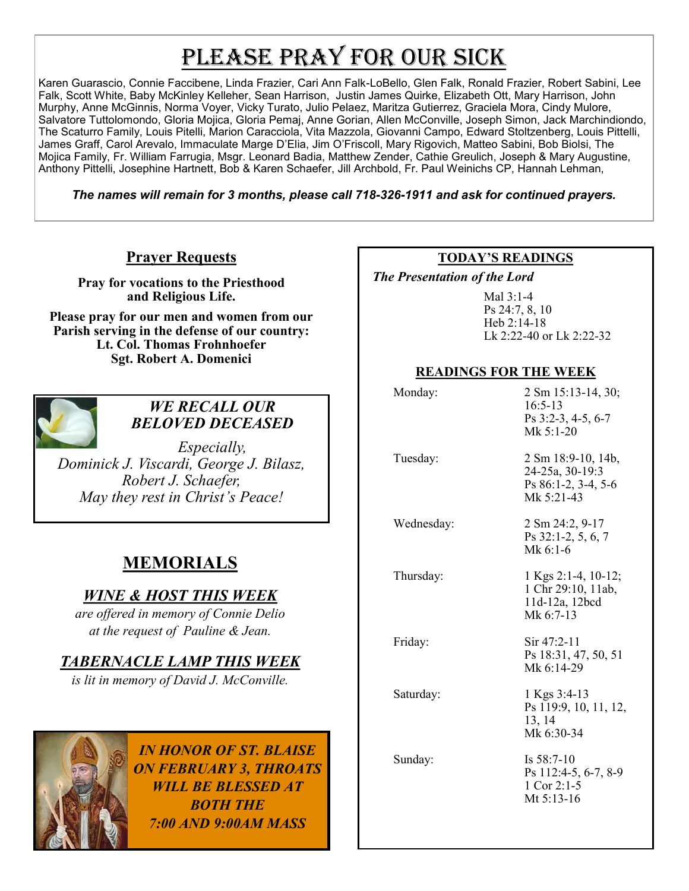# PLEASE PRAY FOR OUR SICK

Karen Guarascio, Connie Faccibene, Linda Frazier, Cari Ann Falk-LoBello, Glen Falk, Ronald Frazier, Robert Sabini, Lee Falk, Scott White, Baby McKinley Kelleher, Sean Harrison, Justin James Quirke, Elizabeth Ott, Mary Harrison, John Murphy, Anne McGinnis, Norma Voyer, Vicky Turato, Julio Pelaez, Maritza Gutierrez, Graciela Mora, Cindy Mulore, Salvatore Tuttolomondo, Gloria Mojica, Gloria Pemaj, Anne Gorian, Allen McConville, Joseph Simon, Jack Marchindiondo, The Scaturro Family, Louis Pitelli, Marion Caracciola, Vita Mazzola, Giovanni Campo, Edward Stoltzenberg, Louis Pittelli, James Graff, Carol Arevalo, Immaculate Marge D'Elia, Jim O'Friscoll, Mary Rigovich, Matteo Sabini, Bob Biolsi, The Mojica Family, Fr. William Farrugia, Msgr. Leonard Badia, Matthew Zender, Cathie Greulich, Joseph & Mary Augustine, Anthony Pittelli, Josephine Hartnett, Bob & Karen Schaefer, Jill Archbold, Fr. Paul Weinichs CP, Hannah Lehman,

*The names will remain for 3 months, please call 718-326-1911 and ask for continued prayers.*

#### **Prayer Requests**

**Pray for vocations to the Priesthood and Religious Life.** 

**Please pray for our men and women from our Parish serving in the defense of our country: Lt. Col. Thomas Frohnhoefer Sgt. Robert A. Domenici** 



#### *WE RECALL OUR BELOVED DECEASED*

*Especially, Dominick J. Viscardi, George J. Bilasz, Robert J. Schaefer, May they rest in Christ's Peace!*

# **MEMORIALS**

### *WINE & HOST THIS WEEK*

*are offered in memory of Connie Delio at the request of Pauline & Jean.* 

#### *TABERNACLE LAMP THIS WEEK*

*is lit in memory of David J. McConville.* 



*IN HONOR OF ST. BLAISE ON FEBRUARY 3, THROATS WILL BE BLESSED AT BOTH THE 7:00 AND 9:00AM MASS*

#### **TODAY'S READINGS**

 *The Presentation of the Lord* 

Mal 3:1-4 Ps 24:7, 8, 10 Heb 2:14-18 Lk 2:22-40 or Lk 2:22-32

#### **READINGS FOR THE WEEK**

| Monday:    | 2 Sm 15:13-14, 30;<br>$16:5-13$<br>Ps 3:2-3, 4-5, 6-7<br>Mk $5:1-20$         |
|------------|------------------------------------------------------------------------------|
| Tuesday:   | 2 Sm 18:9-10, 14b,<br>24-25a, 30-19:3<br>Ps 86:1-2, 3-4, 5-6<br>Mk $5:21-43$ |
| Wednesday: | 2 Sm 24:2, 9-17<br>Ps 32:1-2, 5, 6, 7<br>Mk 6:1-6                            |
| Thursday:  | 1 Kgs 2:1-4, 10-12;<br>1 Chr 29:10, 11ab,<br>11d-12a, 12bcd<br>Mk $6:7-13$   |
| Friday:    | Sir 47:2-11<br>Ps 18:31, 47, 50, 51<br>Mk 6:14-29                            |
| Saturday:  | 1 Kgs 3:4-13<br>Ps 119:9, 10, 11, 12,<br>13, 14<br>Mk 6:30-34                |
| Sunday:    | Is $58:7-10$<br>Ps 112:4-5, 6-7, 8-9<br>1 Cor 2:1-5<br>Mt 5:13-16            |
|            |                                                                              |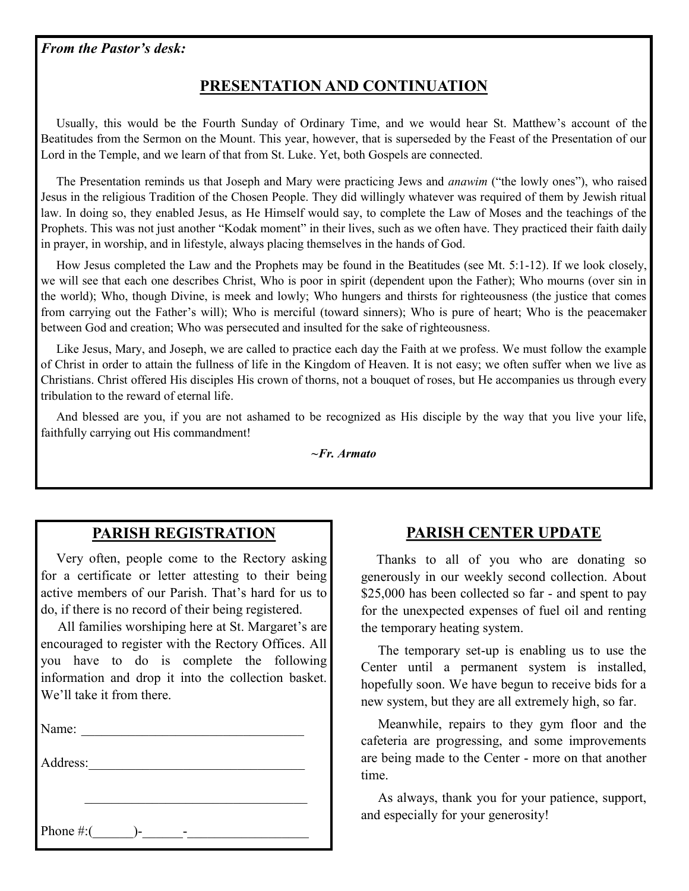## **PRESENTATION AND CONTINUATION**

 Usually, this would be the Fourth Sunday of Ordinary Time, and we would hear St. Matthew's account of the Beatitudes from the Sermon on the Mount. This year, however, that is superseded by the Feast of the Presentation of our Lord in the Temple, and we learn of that from St. Luke. Yet, both Gospels are connected.

 The Presentation reminds us that Joseph and Mary were practicing Jews and *anawim* ("the lowly ones"), who raised Jesus in the religious Tradition of the Chosen People. They did willingly whatever was required of them by Jewish ritual law. In doing so, they enabled Jesus, as He Himself would say, to complete the Law of Moses and the teachings of the Prophets. This was not just another "Kodak moment" in their lives, such as we often have. They practiced their faith daily in prayer, in worship, and in lifestyle, always placing themselves in the hands of God.

 How Jesus completed the Law and the Prophets may be found in the Beatitudes (see Mt. 5:1-12). If we look closely, we will see that each one describes Christ, Who is poor in spirit (dependent upon the Father); Who mourns (over sin in the world); Who, though Divine, is meek and lowly; Who hungers and thirsts for righteousness (the justice that comes from carrying out the Father's will); Who is merciful (toward sinners); Who is pure of heart; Who is the peacemaker between God and creation; Who was persecuted and insulted for the sake of righteousness.

 Like Jesus, Mary, and Joseph, we are called to practice each day the Faith at we profess. We must follow the example of Christ in order to attain the fullness of life in the Kingdom of Heaven. It is not easy; we often suffer when we live as Christians. Christ offered His disciples His crown of thorns, not a bouquet of roses, but He accompanies us through every tribulation to the reward of eternal life.

 And blessed are you, if you are not ashamed to be recognized as His disciple by the way that you live your life, faithfully carrying out His commandment!

*~Fr. Armato*

#### **PARISH REGISTRATION**

 Very often, people come to the Rectory asking for a certificate or letter attesting to their being active members of our Parish. That's hard for us to do, if there is no record of their being registered.

 All families worshiping here at St. Margaret's are encouraged to register with the Rectory Offices. All you have to do is complete the following information and drop it into the collection basket. We'll take it from there.

Name:

Address:\_\_\_\_\_\_\_\_\_\_\_\_\_\_\_\_\_\_\_\_\_\_\_\_\_\_\_\_\_\_\_\_

Phone #:(\_\_\_\_\_\_)-\_\_\_\_\_\_-\_\_\_\_\_\_\_\_\_\_\_\_\_\_\_\_\_\_

#### **PARISH CENTER UPDATE**

 Thanks to all of you who are donating so generously in our weekly second collection. About \$25,000 has been collected so far - and spent to pay for the unexpected expenses of fuel oil and renting the temporary heating system.

 The temporary set-up is enabling us to use the Center until a permanent system is installed, hopefully soon. We have begun to receive bids for a new system, but they are all extremely high, so far.

 Meanwhile, repairs to they gym floor and the cafeteria are progressing, and some improvements are being made to the Center - more on that another time.

 As always, thank you for your patience, support, and especially for your generosity!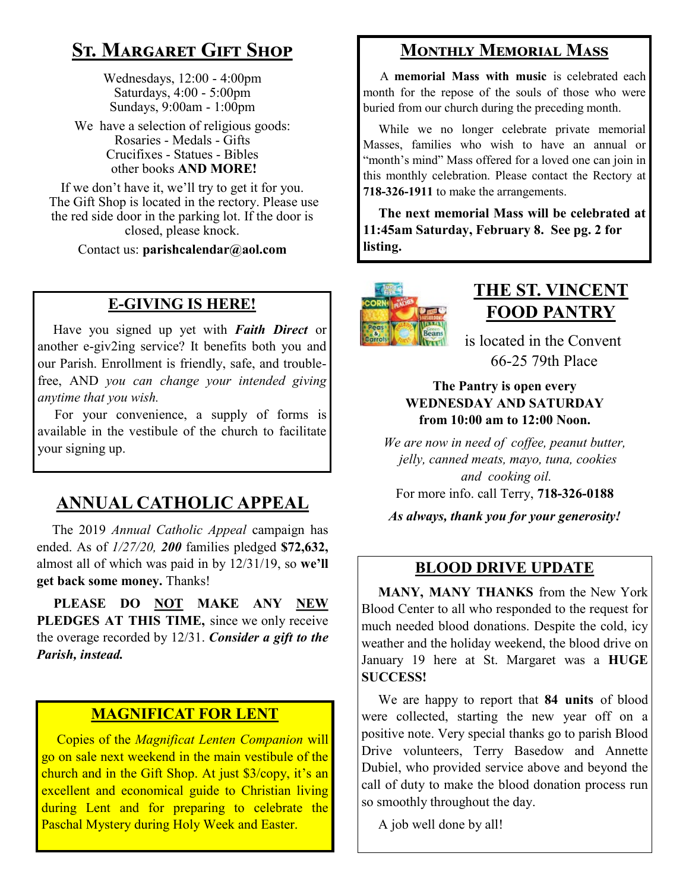# **St. Margaret Gift Shop**

Wednesdays, 12:00 - 4:00pm Saturdays, 4:00 - 5:00pm Sundays, 9:00am - 1:00pm

We have a selection of religious goods: Rosaries - Medals - Gifts Crucifixes - Statues - Bibles other books **AND MORE!**

If we don't have it, we'll try to get it for you. The Gift Shop is located in the rectory. Please use the red side door in the parking lot. If the door is closed, please knock.

Contact us: **parishcalendar@aol.com**

### **E-GIVING IS HERE!**

 Have you signed up yet with *Faith Direct* or another e-giv2ing service? It benefits both you and our Parish. Enrollment is friendly, safe, and troublefree, AND *you can change your intended giving anytime that you wish.*

 For your convenience, a supply of forms is available in the vestibule of the church to facilitate your signing up.

# **ANNUAL CATHOLIC APPEAL**

 The 2019 *Annual Catholic Appeal* campaign has ended. As of *1/27/20, 200* families pledged **\$72,632,**  almost all of which was paid in by 12/31/19, so **we'll get back some money.** Thanks!

 **PLEASE DO NOT MAKE ANY NEW PLEDGES AT THIS TIME,** since we only receive the overage recorded by 12/31. *Consider a gift to the Parish, instead.* 

#### **MAGNIFICAT FOR LENT**

 Copies of the *Magnificat Lenten Companion* will go on sale next weekend in the main vestibule of the church and in the Gift Shop. At just \$3/copy, it's an excellent and economical guide to Christian living during Lent and for preparing to celebrate the Paschal Mystery during Holy Week and Easter.

# **Monthly Memorial Mass**

 A **memorial Mass with music** is celebrated each month for the repose of the souls of those who were buried from our church during the preceding month.

 While we no longer celebrate private memorial Masses, families who wish to have an annual or "month's mind" Mass offered for a loved one can join in this monthly celebration. Please contact the Rectory at **718-326-1911** to make the arrangements.

 **The next memorial Mass will be celebrated at 11:45am Saturday, February 8. See pg. 2 for listing.** 



# **THE ST. VINCENT FOOD PANTRY**

 is located in the Convent 66-25 79th Place

#### **The Pantry is open every WEDNESDAY AND SATURDAY from 10:00 am to 12:00 Noon.**

*We are now in need of coffee, peanut butter, jelly, canned meats, mayo, tuna, cookies and cooking oil.*  For more info. call Terry, **718-326-0188**

*As always, thank you for your generosity!*

## **BLOOD DRIVE UPDATE**

 **MANY, MANY THANKS** from the New York Blood Center to all who responded to the request for much needed blood donations. Despite the cold, icy weather and the holiday weekend, the blood drive on January 19 here at St. Margaret was a **HUGE SUCCESS!**

 We are happy to report that **84 units** of blood were collected, starting the new year off on a positive note. Very special thanks go to parish Blood Drive volunteers, Terry Basedow and Annette Dubiel, who provided service above and beyond the call of duty to make the blood donation process run so smoothly throughout the day.

A job well done by all!